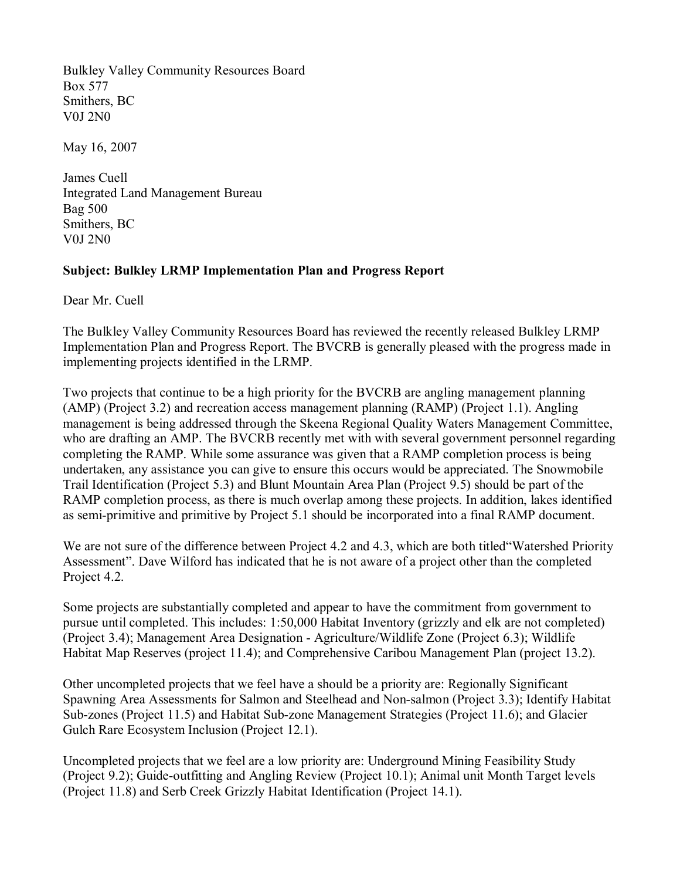Bulkley Valley Community Resources Board Box 577 Smithers, BC V0J 2N0

May 16, 2007

James Cuell Integrated Land Management Bureau Bag 500 Smithers, BC V0J 2N0

## **Subject: Bulkley LRMP Implementation Plan and Progress Report**

Dear Mr. Cuell

The Bulkley Valley Community Resources Board has reviewed the recently released Bulkley LRMP Implementation Plan and Progress Report. The BVCRB is generally pleased with the progress made in implementing projects identified in the LRMP.

Two projects that continue to be a high priority for the BVCRB are angling management planning (AMP) (Project 3.2) and recreation access management planning (RAMP) (Project 1.1). Angling management is being addressed through the Skeena Regional Quality Waters Management Committee, who are drafting an AMP. The BVCRB recently met with with several government personnel regarding completing the RAMP. While some assurance was given that a RAMP completion process is being undertaken, any assistance you can give to ensure this occurs would be appreciated. The Snowmobile Trail Identification (Project 5.3) and Blunt Mountain Area Plan (Project 9.5) should be part of the RAMP completion process, as there is much overlap among these projects. In addition, lakes identified as semi-primitive and primitive by Project 5.1 should be incorporated into a final RAMP document.

We are not sure of the difference between Project 4.2 and 4.3, which are both titled "Watershed Priority" Assessment". Dave Wilford has indicated that he is not aware of a project other than the completed Project 4.2.

Some projects are substantially completed and appear to have the commitment from government to pursue until completed. This includes: 1:50,000 Habitat Inventory (grizzly and elk are not completed) (Project 3.4); Management Area Designation - Agriculture/Wildlife Zone (Project 6.3); Wildlife Habitat Map Reserves (project 11.4); and Comprehensive Caribou Management Plan (project 13.2).

Other uncompleted projects that we feel have a should be a priority are: Regionally Significant Spawning Area Assessments for Salmon and Steelhead and Nonsalmon (Project 3.3); Identify Habitat Sub-zones (Project 11.5) and Habitat Sub-zone Management Strategies (Project 11.6); and Glacier Gulch Rare Ecosystem Inclusion (Project 12.1).

Uncompleted projects that we feel are a low priority are: Underground Mining Feasibility Study (Project 9.2); Guide-outfitting and Angling Review (Project 10.1); Animal unit Month Target levels (Project 11.8) and Serb Creek Grizzly Habitat Identification (Project 14.1).